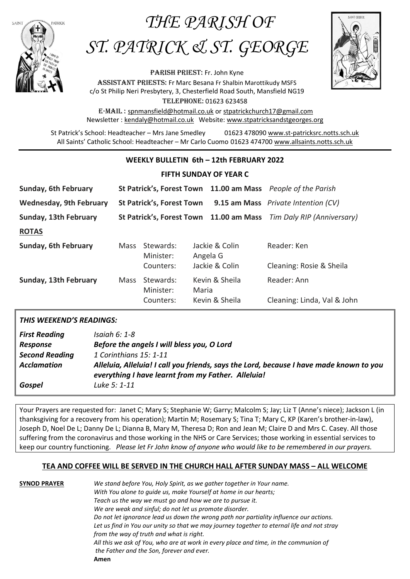## *THE PARISH OF*



# *ST. PATRICK & ST. GEORGE*

PARISH PRIEST: Fr. John Kyne Assistant priestS: Fr Marc Besana Fr Shalbin Marottikudy MSFS c/o St Philip Neri Presbytery, 3, Chesterfield Road South, Mansfield NG19 Telephone: 01623 623458

E-Mail : [spnmansfield@hotmail.co.uk](mailto:spnmansfield@hotmail.co.uk) or [stpatrickchurch17@gmail.com](mailto:stpatrickchurch17@gmail.com) Newsletter [: kendaly@hotmail.co.uk](mailto:kendaly@hotmail.co.uk) Website: [www.stpatricksandstgeorges.org](http://www.stpatricksandstgeorges.org/)

St Patrick's School: Headteacher – Mrs Jane Smedley 01623 478090 [www.st-patricksrc.notts.sch.uk](http://www.st-patricksrc.notts.sch.uk/) All Saints' Catholic School: Headteacher – Mr Carlo Cuomo 01623 474700 [www.allsaints.notts.sch.uk](http://www.allsaints.notts.sch.uk/)

#### **WEEKLY BULLETIN 6th – 12th FEBRUARY 2022**

#### **FIFTH SUNDAY OF YEAR C**

| Sunday, 6th February           |      |                                  |          |                                         | St Patrick's, Forest Town 11.00 am Mass People of the Parish |
|--------------------------------|------|----------------------------------|----------|-----------------------------------------|--------------------------------------------------------------|
| <b>Wednesday, 9th February</b> |      | <b>St Patrick's, Forest Town</b> |          |                                         | 9.15 am Mass Private Intention (CV)                          |
| Sunday, 13th February          |      |                                  |          | St Patrick's, Forest Town 11.00 am Mass | Tim Daly RIP (Anniversary)                                   |
| <b>ROTAS</b>                   |      |                                  |          |                                         |                                                              |
| Sunday, 6th February           | Mass | Stewards:<br>Minister:           | Angela G | Jackie & Colin                          | Reader: Ken                                                  |
|                                |      | Counters:                        |          | Jackie & Colin                          | Cleaning: Rosie & Sheila                                     |
| Sunday, 13th February          | Mass | Stewards:<br>Minister:           | Maria    | Kevin & Sheila                          | Reader: Ann                                                  |
|                                |      | Counters:                        |          | Kevin & Sheila                          | Cleaning: Linda, Val & John                                  |

#### *THIS WEEKEND'S READINGS:*

| <b>First Reading</b>  | Isaiah 6: 1-8                                                                                                                                 |
|-----------------------|-----------------------------------------------------------------------------------------------------------------------------------------------|
| Response              | Before the angels I will bless you, O Lord                                                                                                    |
| <b>Second Reading</b> | 1 Corinthians 15: 1-11                                                                                                                        |
| <b>Acclamation</b>    | Alleluia, Alleluia! I call you friends, says the Lord, because I have made known to you<br>everything I have learnt from my Father. Alleluia! |
| Gospel                | Luke 5: 1-11                                                                                                                                  |

Your Prayers are requested for: Janet C; Mary S; Stephanie W; Garry; Malcolm S; Jay; Liz T (Anne's niece); Jackson L (in thanksgiving for a recovery from his operation); Martin M; Rosemary S; Tina T; Mary C, KP (Karen's brother-in-law), Joseph D, Noel De L; Danny De L; Dianna B, Mary M, Theresa D; Ron and Jean M; Claire D and Mrs C. Casey. All those suffering from the coronavirus and those working in the NHS or Care Services; those working in essential services to keep our country functioning. *Please let Fr John know of anyone who would like to be remembered in our prayers.*

#### **TEA AND COFFEE WILL BE SERVED IN THE CHURCH HALL AFTER SUNDAY MASS – ALL WELCOME**

**SYNOD PRAYER** *We stand before You, Holy Spirit, as we gather together in Your name. With You alone to guide us, make Yourself at home in our hearts; Teach us the way we must go and how we are to pursue it. We are weak and sinful; do not let us promote disorder. Do not let ignorance lead us down the wrong path nor partiality influence our actions. Let us find in You our unity so that we may journey together to eternal life and not stray from the way of truth and what is right. All this we ask of You, who are at work in every place and time, in the communion of the Father and the Son, forever and ever.* **Amen**